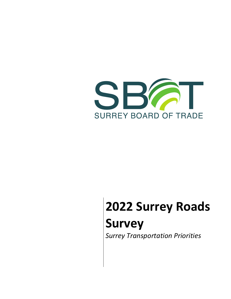

# **2022 Surrey Roads Survey** *Surrey Transportation Priorities*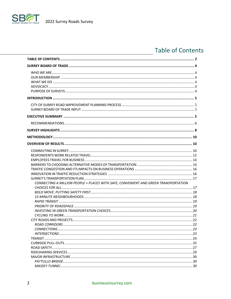

S

# <span id="page-1-0"></span>**Table of Contents**

| CONNECTING A MILLION PEOPLE + PLACES WITH SAFE, CONVENIENT AND GREEN TRANSPORTATION |  |
|-------------------------------------------------------------------------------------|--|
|                                                                                     |  |
|                                                                                     |  |
|                                                                                     |  |
|                                                                                     |  |
|                                                                                     |  |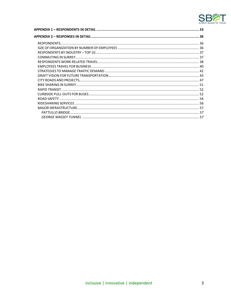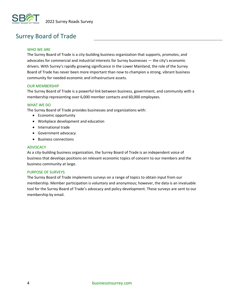

# <span id="page-3-0"></span>Surrey Board of Trade

#### <span id="page-3-1"></span>WHO WE ARE

The Surrey Board of Trade is a city-building business organization that supports, promotes, and advocates for commercial and industrial interests for Surrey businesses — the city's economic drivers. With Surrey's rapidly growing significance in the Lower Mainland, the role of the Surrey Board of Trade has never been more important than now to champion a strong, vibrant business community for needed economic and infrastructure assets.

#### <span id="page-3-2"></span>OUR MEMBERSHIP

The Surrey Board of Trade is a powerful link between business, government, and community with a membership representing over 6,000 member contacts and 60,000 employees.

#### <span id="page-3-3"></span>WHAT WE DO

The Surrey Board of Trade provides businesses and organizations with:

- Economic opportunity
- Workplace development and education
- International trade
- Government advocacy
- Business connections

#### <span id="page-3-4"></span>ADVOCACY

As a city-building business organization, the Surrey Board of Trade is an independent voice of business that develops positions on relevant economic topics of concern to our members and the business community at large.

#### <span id="page-3-5"></span>PURPOSE OF SURVEYS

The Surrey Board of Trade implements surveys on a range of topics to obtain input from our membership. Member participation is voluntary and anonymous; however, the data is an invaluable tool for the Surrey Board of Trade's advocacy and policy development. These surveys are sent to our membership by email.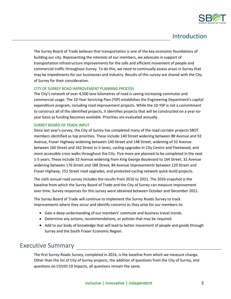

# <span id="page-4-0"></span>Introduction

The Surrey Board of Trade believes that transportation is one of the key economic foundations of building our city. Representing the interests of our members, we advocate in support of transportation infrastructure improvements for the safe and efficient movement of people and commercial traffic throughout Surrey. To do this, we need to continually assess areas in Surrey that may be impediments for our businesses and industry. Results of this survey are shared with the City of Surrey for their consideration.

#### <span id="page-4-1"></span>CITY OF SURREY ROAD IMPROVEMENT PLANNING PROCESS

The City's network of over 4,500 lane kilometres of road is seeing increasing commuter and commercial usage. The 10-Year Servicing Plan (YSP) establishes the Engineering Department's capital expenditure program, including road improvement projects. While the 10-YSP is not a commitment to construct all of the identified projects, it identifies projects that will be constructed on a year-toyear basis as funding becomes available. Priorities are evaluated annually.

#### <span id="page-4-2"></span>SURREY BOARD OF TRADE INPUT

Since last year's survey, the City of Surrey has completed many of the road corridor projects SBOT members identified as top priorities. These include 140 Street widening between 88 Avenue and 92 Avenue, Fraser Highway widening between 140 Street and 148 Street, widening of 32 Avenue between 160 Street and 162 Street to 5-lanes, cycling upgrades in City Centre and Fleetwood, and more accessible cross walks throughout the City. Five more are planned to be completed in the next 1-5 years. These include 32 Avenue widening from King George Boulevard to 164 Street, 32 Avenue widening between 176 Street and 188 Street, 84 Avenue improvements between 120 Street and Fraser Highway, 152 Street road upgrades, and protected cycling network quick-build projects.

The sixth annual road survey includes the results from 2016 to 2021. The 2016 snapshot is the baseline from which the Surrey Board of Trade and the City of Surrey can measure improvement over time. Survey responses for this survey were obtained between October and December 2021.

The Surrey Board of Trade will continue to implement the Surrey Roads Survey to track improvements where they occur and identify concerns as they arise for our members to:

- Gain a deep understanding of our members' commute and business travel trends.
- Determine any actions, recommendations, or policies that may be required.
- Add to our body of knowledge that will lead to better movement of people and goods through Surrey and the South Fraser Economic Region.

# <span id="page-4-3"></span>Executive Summary

The first Surrey Roads Survey, completed in 2016, is the baseline from which we measure change. Other than the list of City of Surrey projects, the addition of questions from the City of Surrey, and questions on COVID-19 impacts, all questions remain the same.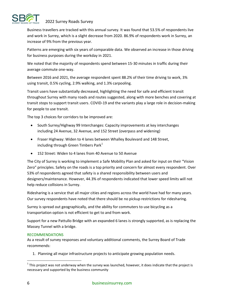

Business travellers are tracked with this annual survey. It was found that 53.5% of respondents live and work in Surrey, which is a slight decrease from 2020. 86.9% of respondents work in Surrey, an increase of 9% from the previous year.

Patterns are emerging with six years of comparable data. We observed an increase in those driving for business purposes during the workday in 2021.

We noted that the majority of respondents spend between 15-30 minutes in traffic during their average commute one-way.

Between 2016 and 2021, the average respondent spent 88.2% of their time driving to work, 3% using transit, 0.5% cycling, 2.9% walking, and 1.3% carpooling.

Transit users have substantially decreased, highlighting the need for safe and efficient transit throughout Surrey with many roads and routes suggested, along with more benches and covering at transit stops to support transit users. COVID-19 and the variants play a large role in decision-making for people to use transit.

The top 3 choices for corridors to be improved are:

- South Surrey/Highway 99 Interchanges: Capacity improvements at key interchanges including 24 Avenue, 32 Avenue, and 152 Street (overpass and widening)
- Fraser Highway: Widen to 4 lanes between Whalley Boulevard and 148 Street, including through Green Timbers Park $1$
- 152 Street: Widen to 4 lanes from 40 Avenue to 50 Avenue

The City of Surrey is working to implement a Safe Mobility Plan and asked for input on their "Vision Zero" principles. Safety on the roads is a top priority and concern for almost every respondent. Over 53% of respondents agreed that safety is a shared responsibility between users and designers/maintenance. However, 44.3% of respondents indicated that lower speed limits will not help reduce collisions in Surrey.

Ridesharing is a service that all major cities and regions across the world have had for many years. Our survey respondents have noted that there should be no pickup restrictions for ridesharing.

Surrey is spread out geographically, and the ability for commuters to use bicycling as a transportation option is not efficient to get to and from work.

Support for a new Pattullo Bridge with an expanded 6 lanes is strongly supported, as is replacing the Massey Tunnel with a bridge.

#### <span id="page-5-0"></span>RECOMMENDATIONS

As a result of survey responses and voluntary additional comments, the Surrey Board of Trade recommends:

1. Planning all major infrastructure projects to anticipate growing population needs.

 $^1$  This project was not underway when the survey was launched, however, it does indicate that the project is necessary and supported by the business community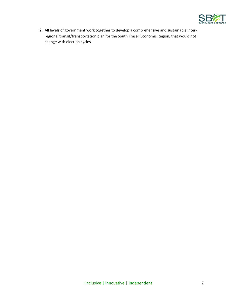

2. All levels of government work together to develop a comprehensive and sustainable interregional transit/transportation plan for the South Fraser Economic Region, that would not change with election cycles.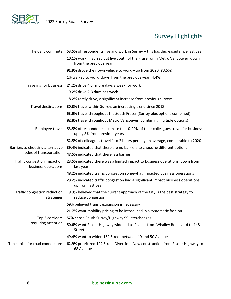

# <span id="page-7-0"></span>Survey Highlights

|                                                     | The daily commute $53.5\%$ of respondents live and work in Surrey $-$ this has decreased since last year          |
|-----------------------------------------------------|-------------------------------------------------------------------------------------------------------------------|
|                                                     | 10.1% work in Surrey but live South of the Fraser or in Metro Vancouver, down<br>from the previous year           |
|                                                     | 91.9% drove their own vehicle to work - up from 2020 (83.5%)                                                      |
|                                                     | 1% walked to work, down from the previous year (4.4%)                                                             |
| Traveling for business                              | 24.2% drive 4 or more days a week for work                                                                        |
|                                                     | 19.2% drive 2-3 days per week                                                                                     |
|                                                     | 18.2% rarely drive, a significant increase from previous surveys                                                  |
| <b>Travel destinations</b>                          | 30.3% travel within Surrey, an increasing trend since 2018                                                        |
|                                                     | 53.5% travel throughout the South Fraser (Surrey plus options combined)                                           |
|                                                     | 82.8% travel throughout Metro Vancouver (combining multiple options)                                              |
| Employee travel                                     | 53.5% of respondents estimate that 0-20% of their colleagues travel for business,<br>up by 8% from previous years |
|                                                     | 52.5% of colleagues travel 1 to 2 hours per day on average, comparable to 2020                                    |
| Barriers to choosing alternative                    | 39.4% indicated that there are no barriers to choosing different options                                          |
| modes of transportation                             | 47.5% indicated that there is a barrier                                                                           |
| Traffic congestion impact on<br>business operations | 23.5% indicated there was a limited impact to business operations, down from<br>last year                         |
|                                                     | 48.2% indicated traffic congestion somewhat impacted business operations                                          |
|                                                     | 28.2% indicated traffic congestion had a significant impact business operations,<br>up from last year             |
| Traffic congestion reduction<br>strategies          | 19.3% believed that the current approach of the City is the best strategy to<br>reduce congestion                 |
|                                                     | 59% believed transit expansion is necessary                                                                       |
|                                                     | 21.7% want mobility pricing to be introduced in a systematic fashion                                              |
|                                                     | Top 3 corridors 57% chose South Surrey/Highway 99 interchanges                                                    |
| requiring attention                                 | 50.6% want Fraser Highway widened to 4 lanes from Whalley Boulevard to 148<br><b>Street</b>                       |
|                                                     | 49.4% want to widen 152 Street between 40 and 50 Avenue                                                           |
| Top choice for road connections                     | 62.9% prioritized 192 Street Diversion: New construction from Fraser Highway to<br>68 Avenue                      |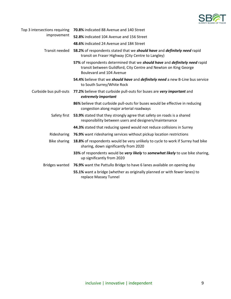

| Top 3 intersections requiring | <b>70.8%</b> indicated 88 Avenue and 140 Street                                                                                                                             |  |  |  |  |  |
|-------------------------------|-----------------------------------------------------------------------------------------------------------------------------------------------------------------------------|--|--|--|--|--|
| improvement                   | 52.8% indicated 104 Avenue and 156 Street                                                                                                                                   |  |  |  |  |  |
|                               | 48.6% indicated 24 Avenue and 184 Street                                                                                                                                    |  |  |  |  |  |
| Transit needed                | 58.2% of respondents stated that we should have and definitely need rapid<br>transit on Fraser Highway (City Centre to Langley)                                             |  |  |  |  |  |
|                               | 57% of respondents determined that we should have and definitely need rapid<br>transit between Guildford, City Centre and Newton on King George<br>Boulevard and 104 Avenue |  |  |  |  |  |
|                               | 54.4% believe that we <i>should have</i> and <i>definitely need</i> a new B-Line bus service<br>to South Surrey/White Rock                                                  |  |  |  |  |  |
| Curbside bus pull-outs        | 77.2% believe that curbside pull-outs for buses are very important and<br>extremely important                                                                               |  |  |  |  |  |
|                               | 86% believe that curbside pull-outs for buses would be effective in reducing<br>congestion along major arterial roadways                                                    |  |  |  |  |  |
| Safety first                  | 53.9% stated that they strongly agree that safety on roads is a shared<br>responsibility between users and designers/maintenance                                            |  |  |  |  |  |
|                               | 44.3% stated that reducing speed would not reduce collisions in Surrey                                                                                                      |  |  |  |  |  |
| Ridesharing                   | 76.9% want ridesharing services without pickup location restrictions                                                                                                        |  |  |  |  |  |
| <b>Bike sharing</b>           | 18.8% of respondents would be very unlikely to cycle to work if Surrey had bike<br>sharing, down significantly from 2020                                                    |  |  |  |  |  |
|                               | 33% of respondents would be very likely to somewhat likely to use bike sharing,<br>up significantly from 2020                                                               |  |  |  |  |  |
| <b>Bridges wanted</b>         | 76.9% want the Pattullo Bridge to have 6 lanes available on opening day                                                                                                     |  |  |  |  |  |
|                               | 55.1% want a bridge (whether as originally planned or with fewer lanes) to<br>replace Massey Tunnel                                                                         |  |  |  |  |  |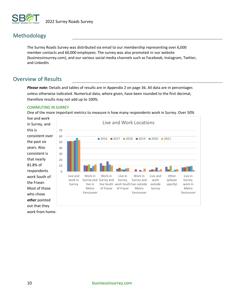

# <span id="page-9-0"></span>Methodology

The Surrey Roads Survey was distributed via email to our membership representing over 6,000 member contacts and 60,000 employees. The survey was also promoted nr our website (businessinsurrey.com), and our various social media channels such as Facebook, Instagram, Twitter, and LinkedIn.

# <span id="page-9-1"></span>Overview of Results

*Please note:* Details and tables of results are in Appendix 2 on page 36. All data are in percentages unless otherwise indicated. Numerical data, where given, have been rounded to the first decimal, therefore results may not add up to 100%.

#### <span id="page-9-2"></span>COMMUTING IN SURREY

One of the more important metrics to measure is how many respondents work in Surrey. Over 50%

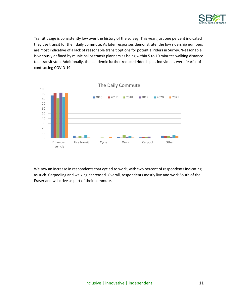

Transit usage is consistently low over the history of the survey. This year, just one percent indicated they use transit for their daily commute. As later responses demonstrate, the low ridership numbers are most indicative of a lack of reasonable transit options for potential riders in Surrey. 'Reasonable' is variously defined by municipal or transit planners as being within 5 to 10 minutes walking distance to a transit stop. Additionally, the pandemic further reduced ridership as individuals were fearful of contracting COVID-19.



We saw an increase in respondents that cycled to work, with two percent of respondents indicating as such. Carpooling and walking decreased. Overall, respondents mostly live and work South of the Fraser and will drive as part of their commute.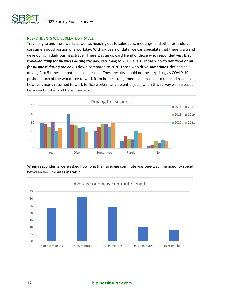

#### <span id="page-11-0"></span>RESPONDENTS WORK RELATED TRAVEL

Travelling to and from work, as well as heading out to sales calls, meetings, and other errands, can consume a good portion of a workday. With six years of data, we can speculate that there is a trend developing in daily business travel. There was an upward trend of those who responded *yes, they travelled daily for business during the day*, returning to 2018 levels. Those who *do not drive at all for business during the day* is down compared to 2020.Those who drive *sometimes*, defined as driving 2 to 5 times a month, has decreased. These results should not be surprising as COVID-19 pushed much of the workforce to work from home arrangements and has led to reduced road users, however, many returned to work (office workers and essential jobs) when this survey was released between October and December 2021.



When respondents were asked how long their average commute was one-way, the majority spend between 0-45 minutes in traffic.

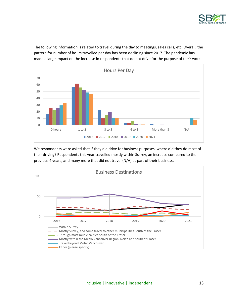

The following information is related to travel during the day to meetings, sales calls, etc. Overall, the pattern for number of hours travelled per day has been declining since 2017. The pandemic has made a large impact on the increase in respondents that do not drive for the purpose of their work.



We respondents were asked that if they did drive for business purposes, where did they do most of their driving? Respondents this year travelled mostly within Surrey, an increase compared to the previous 4 years, and many more that did not travel (N/A) as part of their business.

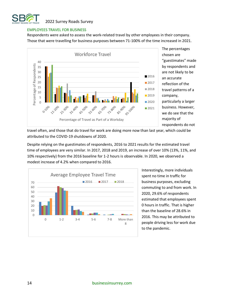

#### <span id="page-13-0"></span>EMPLOYEES TRAVEL FOR BUSINESS

Respondents were asked to assess the work-related travel by other employees in their company. Those that were travelling for business purposes between 71-100% of the time increased in 2021.



The percentages chosen are "guestimates" made by respondents and are not likely to be an accurate reflection of the travel patterns of a company, particularly a larger business. However, we do see that the majority of respondents do not

travel often, and those that do travel for work are doing more now than last year, which could be attributed to the COVID-19 shutdowns of 2020.

Despite relying on the guestimates of respondents, 2016 to 2021 results for the estimated travel time of employees are very similar. In 2017, 2018 and 2019, an increase of over 10% (13%, 11%, and 10% respectively) from the 2016 baseline for 1-2 hours is observable. In 2020, we observed a modest increase of 4.2% when compared to 2016.

<span id="page-13-1"></span>

Interestingly, more individuals spent no time in traffic for business purposes, excluding commuting to and from work. In 2020, 29.6% of respondents estimated that employees spent 0 hours in traffic. That is higher than the baseline of 28.6% in 2016. This may be attributed to people driving less for work due to the pandemic.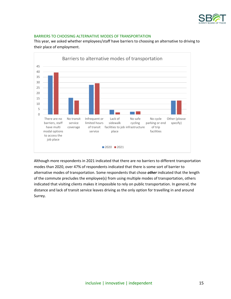

#### BARRIERS TO CHOOSING ALTERNATIVE MODES OF TRANSPORTATION

This year, we asked whether employees/staff have barriers to choosing an alternative to driving to their place of employment.



Although more respondents in 2021 indicated that there are no barriers to different transportation modes than 2020, over 47% of respondents indicated that there is some sort of barrier to alternative modes of transportation. Some respondents that chose *other* indicated that the length of the commute precludes the employee(s) from using multiple modes of transportation, others indicated that visiting clients makes it impossible to rely on public transportation. In general, the distance and lack of transit service leaves driving as the only option for travelling in and around Surrey.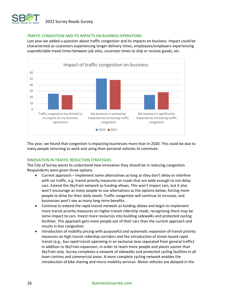

#### <span id="page-15-0"></span>TRAFFIC CONGESTION AND ITS IMPACTS ON BUSINESS OPERATIONS

Last year we added a question about traffic congestion and its impacts on business. Impact could be characterized as customers experiencing longer delivery times, employees/employers experiencing unpredictable travel times between job sites, uncertain times to ship or receive goods, etc.



This year, we found that congestion is impacting businesses more than in 2020. This could be due to many people returning to work and using their personal vehicles to commute.

#### <span id="page-15-1"></span>INNOVATION IN TRAFFIC REDUCTION STRATEGIES

The City of Surrey wants to understand how innovative they should be in reducing congestion. Respondents were given three options:

- Current approach Implement some alternatives as long as they don't delay or interfere with car traffic, e.g. transit priority measures on roads that are wide enough to not delay cars. Extend the SkyTrain network as funding allows. This won't impact cars, but it also won't encourage as many people to use alternatives as the options below, forcing more people to drive for their daily needs. Traffic congestion will continue to increase, and businesses won't see as many long-term benefits.
- Continue to extend the rapid transit network as funding allows and begin to implement more transit priority measures on higher transit ridership roads, recognizing there may be some impact to cars. Invest more resources into building sidewalks and protected cycling facilities. This approach gets more people out of their cars than the current approach and results in less congestion.
- Introduction of mobility pricing with purposeful and systematic expansion of transit priority measures on high transit-ridership corridors and the introduction of street-based rapid transit (e.g., bus rapid transit operating in an exclusive lane separated from general traffic) in addition to SkyTrain expansion, in order to reach more people and places sooner than SkyTrain only. Surrey completes a network of sidewalks and protected cycling facilities in all town centres and commercial areas. A more complete cycling network enables the introduction of bike sharing and micro-mobility services. Motor vehicles are delayed in the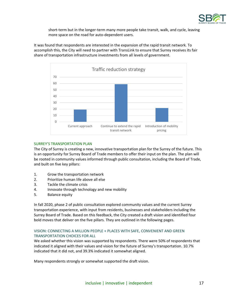

short-term but in the longer-term many more people take transit, walk, and cycle, leaving more space on the road for auto-dependent users.

It was found that respondents are interested in the expansion of the rapid transit network. To accomplish this, the City will need to partner with TransLink to ensure that Surrey receives its fair share of transportation infrastructure investments from all levels of government.



#### <span id="page-16-0"></span>SURREY'S TRANSPORTATION PLAN

The City of Surrey is creating a new, innovative transportation plan for the Surrey of the future. This is an opportunity for Surrey Board of Trade members to offer their input on the plan. The plan will be rooted in community values informed through public consultation, including the Board of Trade, and built on five key pillars:

- 1. Grow the transportation network
- 2. Prioritize human life above all else
- 3. Tackle the climate crisis
- 4. Innovate through technology and new mobility
- 5. Balance equity

In fall 2020, phase 2 of public consultation explored community values and the current Surrey transportation experience, with input from residents, businesses and stakeholders including the Surrey Board of Trade. Based on this feedback, the City created a draft vision and identified four bold moves that deliver on the five pillars. They are outlined in the following pages.

#### <span id="page-16-1"></span>VISION: CONNECTING A MILLION PEOPLE + PLACES WITH SAFE, CONVENIENT AND GREEN TRANSPORTATION CHOICES FOR ALL

We asked whether this vision was supported by respondents. There were 50% of respondents that indicated it aligned with their values and vision for the future of Surrey's transportation. 10.7% indicated that it did not, and 39.3% indicated it somewhat aligned.

Many respondents strongly or somewhat supported the draft vision.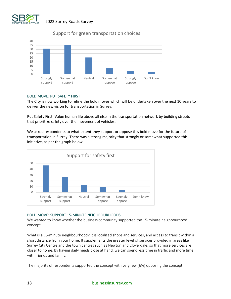



#### <span id="page-17-0"></span>BOLD MOVE: PUT SAFETY FIRST

The City is now working to refine the bold moves which will be undertaken over the next 10 years to deliver the new vision for transportation in Surrey.

Put Safety First: Value human life above all else in the transportation network by building streets that prioritize safety over the movement of vehicles.

We asked respondents to what extent they support or oppose this bold move for the future of transportation in Surrey. There was a strong majority that strongly or somewhat supported this initiative, as per the graph below.



#### <span id="page-17-1"></span>BOLD MOVE: SUPPORT 15-MINUTE NEIGHBOURHOODS

We wanted to know whether the business community supported the 15-minute neighbourhood concept.

What is a 15-minute neighbourhood? It is localized shops and services, and access to transit within a short distance from your home. It supplements the greater level of services provided in areas like Surrey City Centre and the town centres such as Newton and Cloverdale, so that more services are closer to home. By having daily needs close at hand, we can spend less time in traffic and more time with friends and family.

The majority of respondents supported the concept with very few (6%) opposing the concept.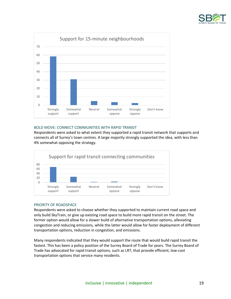



#### <span id="page-18-0"></span>BOLD MOVE: CONNECT COMMUNITIES WITH RAPID TRANSIT

Respondents were asked to what extent they supported a rapid transit network that supports and connects all of Surrey's town centres. A large majority strongly supported the idea, with less than 4% somewhat opposing the strategy.



#### <span id="page-18-1"></span>PRIORITY OF ROADSPACE

Respondents were asked to choose whether they supported to maintain current road space and only build SkyTrain, or give up existing road space to build more rapid transit on the street. The former option would allow for a slower build of alternative transportation options, alleviating congestion and reducing emissions, while the latter would allow for faster deployment of different transportation options, reduction in congestion, and emissions.

Many respondents indicated that they would support the route that would build rapid transit the fastest. This has been a policy position of the Surrey Board of Trade for years. The Surrey Board of Trade has advocated for rapid transit options, such as LRT, that provide efficient, low-cost transportation options that service many residents.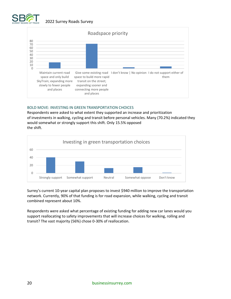



#### <span id="page-19-0"></span>BOLD MOVE: INVESTING IN GREEN TRANSPORTATION CHOICES

Respondents were asked to what extent they supported an increase and prioritization of investments in walking, cycling and transit before personal vehicles. Many (70.2%) indicated they would somewhat or strongly support this shift. Only 15.5% opposed the shift.



Surrey's current 10-year capital plan proposes to invest \$940 million to improve the transportation network. Currently, 90% of that funding is for road expansion, while walking, cycling and transit combined represent about 10%.

Respondents were asked what percentage of existing funding for adding new car lanes would you support reallocating to safety improvements that will increase choices for walking, rolling and transit? The vast majority (56%) chose 0-30% of reallocation.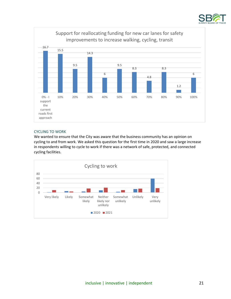



#### <span id="page-20-0"></span>CYCLING TO WORK

We wanted to ensure that the City was aware that the business community has an opinion on cycling to and from work. We asked this question for the first time in 2020 and saw a large increase in respondents willing to cycle to work if there was a network of safe, protected, and connected cycling facilities.

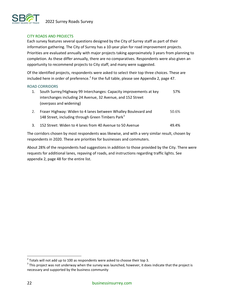

#### <span id="page-21-0"></span>CITY ROADS AND PROJECTS

Each survey features several questions designed by the City of Surrey staff as part of their information gathering. The City of Surrey has a 10-year plan for road improvement projects. Priorities are evaluated annually with major projects taking approximately 3 years from planning to completion. As these differ annually, there are no comparatives. Respondents were also given an opportunity to recommend projects to City staff, and many were suggested.

Of the identified projects, respondents were asked to select their top three choices. These are included here in order of preference.<sup>2</sup> For the full table, please see Appendix 2, page 47.

#### <span id="page-21-1"></span>ROAD CORRIDORS

| South Surrey/Highway 99 Interchanges: Capacity improvements at key | 57% |
|--------------------------------------------------------------------|-----|
| interchanges including 24 Avenue, 32 Avenue, and 152 Street        |     |
| (overpass and widening)                                            |     |
|                                                                    |     |

- 2. Fraser Highway: Widen to 4 lanes between Whalley Boulevard and 148 Street, including through Green Timbers Park $3$ 50.6%
- 3. 152 Street: Widen to 4 lanes from 40 Avenue to 50 Avenue 49.4%

The corridors chosen by most respondents was likewise, and with a very similar result, chosen by respondents in 2020. These are priorities for businesses and commuters.

About 28% of the respondents had suggestions in addition to those provided by the City. There were requests for additional lanes, repaving of roads, and instructions regarding traffic lights. See appendix 2, page 48 for the entire list.

 $^{2}$  Totals will not add up to 100 as respondents were asked to choose their top 3.

 $3$  This project was not underway when the survey was launched, however, it does indicate that the project is necessary and supported by the business community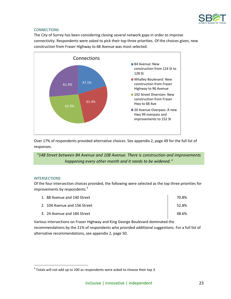

#### <span id="page-22-0"></span>**CONNECTIONS**

The City of Surrey has been considering closing several network gaps in order to improve connectivity. Respondents were asked to pick their top three priorities. Of the choices given, new construction from Fraser Highway to 68 Avenue was most selected.



Over 17% of respondents provided alternative choices. See appendix 2, page 49 for the full list of responses.

*"148 Street between 84 Avenue and 108 Avenue. There is construction and improvements happening every other month and it needs to be widened."*

#### <span id="page-22-1"></span>**INTERSECTIONS**

Of the four intersection choices provided, the following were selected as the top three priorities for improvements by respondents. 4

| 1. 88 Avenue and 140 Street  | 70.8% |
|------------------------------|-------|
| 2. 104 Avenue and 156 Street | 52.8% |
| 3. 24 Avenue and 184 Street  | 48.6% |

Various intersections on Fraser Highway and King George Boulevard dominated the recommendations by the 21% of respondents who provided additional suggestions. For a full list of alternative recommendations, see appendix 2, page 50.

 $^4$  Totals will not add up to 100 as respondents were asked to choose their top 3.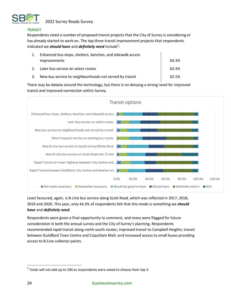

#### <span id="page-23-0"></span>TRANSIT

Respondents rated a number of proposed transit projects that the City of Surrey is considering or has already started to work on. The top three transit improvement projects that respondents indicated we *should have* and *definitely need* include<sup>5</sup>:

|    | Enhanced bus stops, shelters, benches, and sidewalk access |       |  |  |  |
|----|------------------------------------------------------------|-------|--|--|--|
|    | <i>improvements</i>                                        | 63.3% |  |  |  |
|    | Later bus service on select routes                         | 63.3% |  |  |  |
| 3. | New bus service to neighbourhoods not served by transit    | 62.1% |  |  |  |

There may be debate around the technology, but there is no denying a strong need for improved transit and improved connection within Surrey.



Least favoured, again, is B-Line bus service along Scott Road, which was reflected in 2017, 2018, 2019 and 2020. This year, only 44.3% of respondents felt that this mode is something we *should have* and *definitely need*.

Respondents were given a final opportunity to comment, and many were flagged for future consideration in both the annual survey and the City of Surrey's planning. Respondents recommended rapid transit along north-south routes; improved transit to Campbell Heights; transit between Guildford Town Centre and Coquitlam Mall; and increased access to small buses providing access to B-Line collector points.

 $<sup>5</sup>$  Totals will not add up to 100 as respondents were asked to choose their top 3.</sup>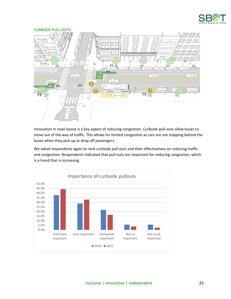

<span id="page-24-0"></span>

Innovation in road layout is a key aspect of reducing congestion. Curbside pull-outs allow buses to move out of the way of traffic. This allows for limited congestion as cars are not stopping behind the buses when they pick up or drop off passengers.

We asked respondents again to rank curbside pull-outs and their effectiveness on reducing traffic and congestion. Respondents indicated that pull-outs are important for reducing congestion, which is a trend that is increasing.

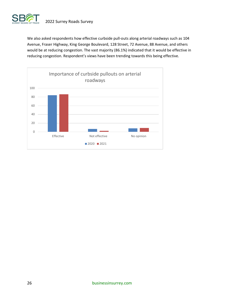

We also asked respondents how effective curbside pull-outs along arterial roadways such as 104 Avenue, Fraser Highway, King George Boulevard, 128 Street, 72 Avenue, 88 Avenue, and others would be at reducing congestion. The vast majority (86.1%) indicated that it would be effective in reducing congestion. Respondent's views have been trending towards this being effective.

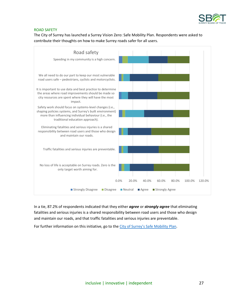

#### <span id="page-26-0"></span>ROAD SAFETY

The City of Surrey has launched a Surrey Vision Zero: Safe Mobility Plan. Respondents were asked to contribute their thoughts on how to make Surrey roads safer for all users.



In a tie, 87.2% of respondents indicated that they either *agree* or *strongly agree* that eliminating fatalities and serious injuries is a shared responsibility between road users and those who design and maintain our roads, and that traffic fatalities and serious injuries are preventable.

For further information on this initiative, go to the [City of Surrey's Safe Mobility](https://www.surrey.ca/city-services/12174.aspx.) Plan.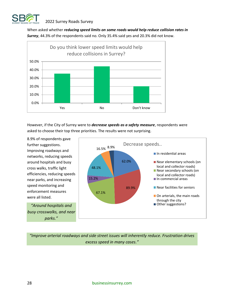

When asked whether *reducing speed limits on some roads would help reduce collision rates in Surrey*, 44.3% of the respondents said no. Only 35.4% said yes and 20.3% did not know.



However, if the City of Surrey were to *decrease speeds as a safety measure*, respondents were asked to choose their top three priorities. The results were not surprising.

8.9% of respondents gave further suggestions. Improving roadways and networks, reducing speeds around hospitals and busy cross walks, traffic light efficiencies, reducing speeds near parks, and increasing speed monitoring and enforcement measures were all listed.

*"Around hospitals and busy crosswalks, and near parks."*



*"Improve arterial roadways and side street issues will inherently reduce. Frustration drives excess speed in many cases."*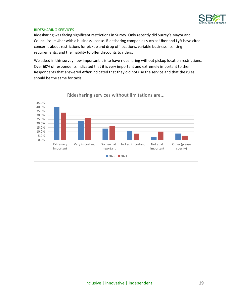

#### <span id="page-28-0"></span>RIDESHARING SERVICES

Ridesharing was facing significant restrictions in Surrey. Only recently did Surrey's Mayor and Council issue Uber with a business license. Ridesharing companies such as Uber and Lyft have cited concerns about restrictions for pickup and drop off locations, variable business licensing requirements, and the inability to offer discounts to riders.

We asked in this survey how important it is to have ridesharing without pickup location restrictions. Over 60% of respondents indicated that it is very important and extremely important to them. Respondents that answered *other* indicated that they did not use the service and that the rules should be the same for taxis.

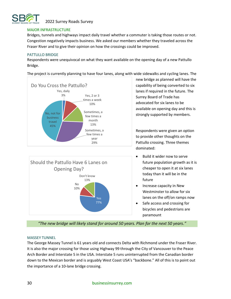

#### <span id="page-29-0"></span>MAJOR INFRASTRUCTURE

Bridges, tunnels and highways impact daily travel whether a commuter is taking those routes or not. Congestion negatively impacts business. We asked our members whether they traveled across the Fraser River and to give their opinion on how the crossings could be improved.

#### <span id="page-29-1"></span>PATTULLO BRIDGE

Respondents were unequivocal on what they want available on the opening day of a new Pattullo Bridge.

The project is currently planning to have four lanes, along with wide sidewalks and cycling lanes. The





new bridge as planned will have the capability of being converted to six lanes if required in the future. The Surrey Board of Trade has advocated for six lanes to be available on opening day and this is strongly supported by members.

Respondents were given an option to provide other thoughts on the Pattullo crossing. Three themes dominated:

- Build it wider now to serve future population growth as it is cheaper to open it at six lanes today than it will be in the future
- Increase capacity in New Westminster to allow for six lanes on the off/on ramps now
- Safe access and crossing for bicycles and pedestrians are paramount

*"The new bridge will likely stand for around 50 years. Plan for the next 50 years."*

#### <span id="page-29-2"></span>MASSEY TUNNEL

The George Massey Tunnel is 61 years old and connects Delta with Richmond under the Fraser River. It is also the major crossing for those using Highway 99 through the City of Vancouver to the Peace Arch Border and Interstate 5 in the USA. Interstate 5 runs uninterrupted from the Canadian border down to the Mexican border and is arguably West Coast USA's "backbone." All of this is to point out the importance of a 10-lane bridge crossing.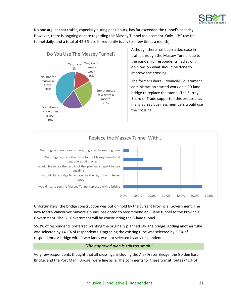

No one argues that traffic, especially during peak hours, has far exceeded the tunnel's capacity. However, there is ongoing debate regarding the Massey Tunnel replacement. Only 1.3% use the tunnel daily, and a total of 42.3% use it frequently (daily to a few times a month).



Although there has been a decrease in traffic through the Massey Tunnel due to the pandemic, respondents had strong opinions on what should be done to improve the crossing.

The former Liberal Provincial Government administration started work on a 10-lane bridge to replace the tunnel. The Surrey Board of Trade supported this proposal as many Surrey business members would use the crossing.



Unfortunately, the bridge construction was put on hold by the current Provincial Government. The new Metro Vancouver Mayors' Council has opted to recommend an 8-lane tunnel to the Provincial Government. The BC Government will be constructing the 8-lane tunnel.

55.3% of respondents preferred wanting the originally planned 10-lane bridge. Adding another tube was selected by 14.1% of respondents. Upgrading the existing tube was selected by 3.9% of respondents. A bridge with fewer lanes was not selected by any respondent.

#### *"The approved plan is still too small."*

Very few respondents thought that all crossings, including the Alex Fraser Bridge, the Golden Ears Bridge, and the Port Mann Bridge, were fine as is. The comments for these transit routes (41% of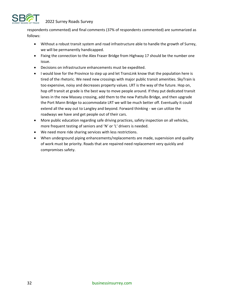

respondents commented) and final comments (37% of respondents commented) are summarized as follows:

- Without a robust transit system and road infrastructure able to handle the growth of Surrey, we will be permanently handicapped.
- Fixing the connection to the Alex Fraser Bridge from Highway 17 should be the number one issue.
- Decisions on infrastructure enhancements must be expedited.
- I would love for the Province to step up and let TransLink know that the population here is tired of the rhetoric. We need new crossings with major public transit amenities. SkyTrain is too expensive, noisy and decreases property values. LRT is the way of the future. Hop on, hop off transit at grade is the best way to move people around. If they put dedicated transit lanes in the new Massey crossing, add them to the new Pattullo Bridge, and then upgrade the Port Mann Bridge to accommodate LRT we will be much better off. Eventually it could extend all the way out to Langley and beyond. Forward thinking - we can utilize the roadways we have and get people out of their cars.
- More public education regarding safe driving practices, safety inspection on all vehicles, more frequent testing of seniors and 'N' or 'L' drivers is needed.
- We need more ride sharing services with less restrictions.
- When underground piping enhancements/replacements are made, supervision and quality of work must be priority. Roads that are repaired need replacement very quickly and compromises safety.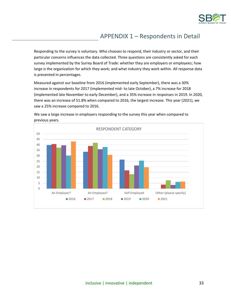

# <span id="page-32-0"></span>APPENDIX 1 – Respondents in Detail

Responding to the survey is voluntary. Who chooses to respond, their industry or sector, and their particular concerns influences the data collected. Three questions are consistently asked for each survey implemented by the Surrey Board of Trade: whether they are employers or employees; how large is the organization for which they work; and what industry they work within. All response data is presented in percentages.

Measured against our baseline from 2016 (implemented early September), there was a 30% increase in respondents for 2017 (implemented mid- to late October), a 7% increase for 2018 (implemented late November to early December), and a 35% increase in responses in 2019. In 2020, there was an increase of 51.8% when compared to 2016, the largest increase. This year (2021), we saw a 25% increase compared to 2016.



We saw a large increase in employers responding to the survey this year when compared to previous years.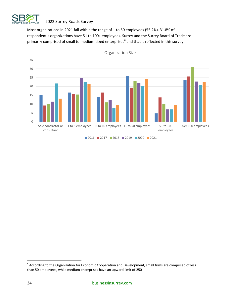

Most organizations in 2021 fall within the range of 1 to 50 employees (55.2%). 31.8% of respondent's organizations have 51 to 100+ employees. Surrey and the Surrey Board of Trade are primarily comprised of small to medium-sized enterprises<sup>6</sup> and that is reflected in this survey.



 $^6$  According to the Organization for Economic Cooperation and Development, small firms are comprised of less than 50 employees, while medium enterprises have an upward limit of 250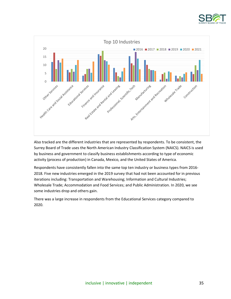



Also tracked are the different industries that are represented by respondents. To be consistent, the Surrey Board of Trade uses the North American Industry Classification System (NAICS). NAICS is used by business and government to classify business establishments according to type of economic activity (process of production) in Canada, Mexico, and the United States of America.

Respondents have consistently fallen into the same top ten industry or business types from 2016- 2018. Five new industries emerged in the 2019 survey that had not been accounted for in previous iterations including: Transportation and Warehousing; Information and Cultural Industries; Wholesale Trade; Accommodation and Food Services; and Public Administration. In 2020, we see some industries drop and others gain.

There was a large increase in respondents from the Educational Services category compared to 2020.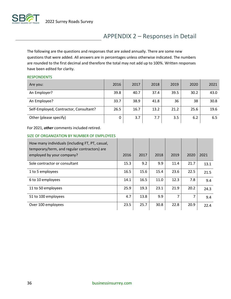

# APPENDIX 2 – Responses in Detail

The following are the questions and responses that are asked annually. There are some new questions that were added. All answers are in percentages unless otherwise indicated. The numbers are rounded to the first decimal and therefore the total may not add up to 100%. Written responses have been edited for clarity.

#### <span id="page-35-0"></span>**RESPONDENTS**

| Are you:                               | 2016 | 2017 | 2018 | 2019 | 2020 | 2021 |
|----------------------------------------|------|------|------|------|------|------|
| An Employer?                           | 39.8 | 40.7 | 37.4 | 39.5 | 30.2 | 43.0 |
| An Employee?                           | 33.7 | 38.9 | 41.8 | 36   | 38   | 30.8 |
| Self-Employed, Contractor, Consultant? | 26.5 | 16.7 | 13.2 | 21.2 | 25.6 | 19.6 |
| Other (please specify)                 | 0    | 3.7  | 7.7  | 3.5  | 6.2  | 6.5  |

For 2021, *other* comments included retired.

#### <span id="page-35-1"></span>SIZE OF ORGANIZATION BY NUMBER OF EMPLOYEES

| How many individuals (including FT, PT, casual,<br>temporary/term, and regular contractors) are<br>employed by your company? | 2016 | 2017 | 2018 | 2019 | 2020 | 2021 |
|------------------------------------------------------------------------------------------------------------------------------|------|------|------|------|------|------|
| Sole contractor or consultant                                                                                                | 15.3 | 9.2  | 9.9  | 11.4 | 21.7 | 13.1 |
| 1 to 5 employees                                                                                                             | 16.5 | 15.6 | 15.4 | 23.6 | 22.5 | 21.5 |
| 6 to 10 employees                                                                                                            | 14.1 | 16.5 | 11.0 | 12.3 | 7.8  | 9.4  |
| 11 to 50 employees                                                                                                           | 25.9 | 19.3 | 23.1 | 21.9 | 20.2 | 24.3 |
| 51 to 100 employees                                                                                                          | 4.7  | 13.8 | 9.9  | 7    | 7    | 9.4  |
| Over 100 employees                                                                                                           | 23.5 | 25.7 | 30.8 | 22.8 | 20.9 | 22.4 |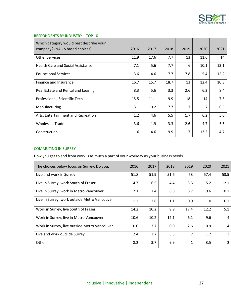

| Which category would best describe your<br>company? (NAICS based choices) | 2016 | 2017 | 2018 | 2019           | 2020           | 2021 |
|---------------------------------------------------------------------------|------|------|------|----------------|----------------|------|
| <b>Other Services</b>                                                     | 11.9 | 17.6 | 7.7  | 13             | 11.6           | 14   |
| <b>Health Care and Social Assistance</b>                                  | 7.1  | 5.6  | 7.7  | 6              | 10.1           | 13.1 |
| <b>Educational Services</b>                                               | 3.6  | 4.6  | 7.7  | 7.8            | 5.4            | 12.2 |
| Finance and Insurance                                                     | 16.7 | 15.7 | 18.7 | 13             | 12.4           | 10.3 |
| Real Estate and Rental and Leasing                                        | 8.3  | 5.6  | 3.3  | 2.6            | 6.2            | 8.4  |
| Professional, Scientific, Tech                                            | 15.5 | 11.1 | 9.9  | 18             | 14             | 7.5  |
| Manufacturing                                                             | 13.1 | 10.2 | 7.7  | $\overline{7}$ | $\overline{7}$ | 6.5  |
| Arts, Entertainment and Recreation                                        | 1.2  | 4.6  | 5.5  | 1.7            | 6.2            | 5.6  |
| <b>Wholesale Trade</b>                                                    | 3.6  | 1.9  | 3.3  | 2.6            | 4.7            | 5.6  |
| Construction                                                              | 6    | 4.6  | 9.9  | 7              | 13.2           | 4.7  |

#### <span id="page-36-0"></span>RESPONDENTS BY INDUSTRY – TOP 10

#### <span id="page-36-1"></span>COMMUTING IN SURREY

How you get to and from work is as much a part of your workday as your business needs.

| The choices below focus on Surrey. Do you:   | 2016 | 2017 | 2018 | 2019 | 2020     | 2021           |
|----------------------------------------------|------|------|------|------|----------|----------------|
| Live and work in Surrey                      | 51.8 | 51.9 | 51.6 | 53   | 57.4     | 53.5           |
| Live in Surrey, work South of Fraser         | 4.7  | 6.5  | 4.4  | 3.5  | 5.2      | 12.1           |
| Live in Surrey, work in Metro Vancouver      | 7.1  | 7.4  | 8.8  | 8.7  | 9.6      | 10.1           |
| Live in Surrey, work outside Metro Vancouver | 1.2  | 2.8  | 1.1  | 0.9  | $\Omega$ | 6.1            |
| Work in Surrey, live South of Fraser         | 14.2 | 10.2 | 9.9  | 17.4 | 12.2     | 5.1            |
| Work in Surrey, live in Metro Vancouver      | 10.6 | 10.2 | 12.1 | 6.1  | 9.6      | $\overline{4}$ |
| Work in Surrey, live outside Metro Vancouver | 0.0  | 3.7  | 0.0  | 2.6  | 0.9      | $\overline{4}$ |
| Live and work outside Surrey                 | 2.4  | 3.7  | 3.3  | 7    | 1.7      | $\overline{3}$ |
| Other                                        | 8.2  | 3.7  | 9.9  | 1    | 3.5      | $\overline{2}$ |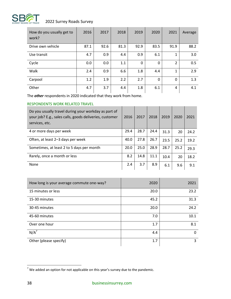

| How do you usually get to<br>work? | 2016 | 2017 | 2018 | 2019 | 2020        | 2021         | Average |
|------------------------------------|------|------|------|------|-------------|--------------|---------|
| Drive own vehicle                  | 87.1 | 92.6 | 81.3 | 92.9 | 83.5        | 91.9         | 88.2    |
| Use transit                        | 4.7  | 0.9  | 4.4  | 0.9  | 6.1         | 1            | 3.0     |
| Cycle                              | 0.0  | 0.0  | 1.1  | 0    | $\mathbf 0$ | 2            | 0.5     |
| Walk                               | 2.4  | 0.9  | 6.6  | 1.8  | 4.4         | 1            | 2.9     |
| Carpool                            | 1.2  | 1.9  | 2.2  | 2.7  | $\Omega$    | $\mathbf{0}$ | 1.3     |
| Other                              | 4.7  | 3.7  | 4.4  | 1.8  | 6.1         | 4            | 4.1     |

The *other* respondents in 2020 indicated that they work from home.

#### <span id="page-37-0"></span>RESPONDENTS WORK RELATED TRAVEL

| Do you usually travel during your workday as part of<br>your job? E.g., sales calls, goods deliveries, customer<br>services, etc. | 2016 | 2017 | 2018 | 2019 | 2020 | 2021 |
|-----------------------------------------------------------------------------------------------------------------------------------|------|------|------|------|------|------|
| 4 or more days per week                                                                                                           | 29.4 | 28.7 | 24.4 | 31.3 | 20   | 24.2 |
| Often, at least 2–3 days per week                                                                                                 | 40.0 | 27.8 | 26.7 | 23.5 | 25.2 | 19.2 |
| Sometimes, at least 2 to 5 days per month                                                                                         | 20.0 | 25.0 | 28.9 | 28.7 | 25.2 | 29.3 |
| Rarely, once a month or less                                                                                                      | 8.2  | 14.8 | 11.1 | 10.4 | 20   | 18.2 |
| None                                                                                                                              | 2.4  | 3.7  | 8.9  | 6.1  | 9.6  | 9.1  |

| How long is your average commute one-way? | 2020 | 2021 |
|-------------------------------------------|------|------|
| 15 minutes or less                        | 20.0 | 23.2 |
| 15-30 minutes                             | 45.2 | 31.3 |
| 30-45 minutes                             | 20.0 | 24.2 |
| 45-60 minutes                             | 7.0  | 10.1 |
| Over one hour                             | 1.7  | 8.1  |
| $N/A^7$                                   | 4.4  | 0    |
| Other (please specify)                    | 1.7  | 3    |

 $<sup>7</sup>$  We added an option for not applicable on this year's survey due to the pandemic.</sup>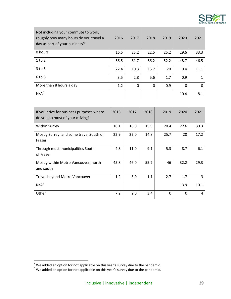

| Not including your commute to work,<br>roughly how many hours do you travel a<br>day as part of your business? | 2016 | 2017     | 2018     | 2019 | 2020     | 2021 |
|----------------------------------------------------------------------------------------------------------------|------|----------|----------|------|----------|------|
| 0 hours                                                                                                        | 16.5 | 25.2     | 22.5     | 25.2 | 29.6     | 33.3 |
| $1$ to $2$                                                                                                     | 56.5 | 61.7     | 56.2     | 52.2 | 48.7     | 46.5 |
| $3$ to 5                                                                                                       | 22.4 | 10.3     | 15.7     | 20   | 10.4     | 11.1 |
| $6$ to $8$                                                                                                     | 3.5  | 2.8      | 5.6      | 1.7  | 0.9      | 1    |
| More than 8 hours a day                                                                                        | 1.2  | $\Omega$ | $\Omega$ | 0.9  | $\Omega$ | 0    |
| $N/A^8$                                                                                                        |      |          |          |      | 10.4     | 8.1  |

| If you drive for business purposes where<br>do you do most of your driving? | 2016 | 2017 | 2018 | 2019     | 2020 | 2021 |
|-----------------------------------------------------------------------------|------|------|------|----------|------|------|
| <b>Within Surrey</b>                                                        | 18.1 | 16.0 | 15.9 | 20.4     | 22.6 | 30.3 |
| Mostly Surrey, and some travel South of<br>Fraser                           | 22.9 | 22.0 | 14.8 | 25.7     | 20   | 17.2 |
| Through most municipalities South<br>of Fraser                              | 4.8  | 11.0 | 9.1  | 5.3      | 8.7  | 6.1  |
| Mostly within Metro Vancouver, north<br>and south                           | 45.8 | 46.0 | 55.7 | 46       | 32.2 | 29.3 |
| Travel beyond Metro Vancouver                                               | 1.2  | 3.0  | 1.1  | 2.7      | 1.7  | 3    |
| N/A <sup>9</sup>                                                            |      |      |      |          | 13.9 | 10.1 |
| Other                                                                       | 7.2  | 2.0  | 3.4  | $\Omega$ | 0    | 4    |

<span id="page-38-0"></span> $^8$  We added an option for not applicable on this year's survey due to the pandemic.

 $^9$  We added an option for not applicable on this year's survey due to the pandemic.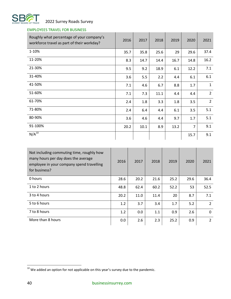

## EMPLOYEES TRAVEL FOR BUSINESS

| Roughly what percentage of your company's<br>workforce travel as part of their workday? | 2016 | 2017 | 2018 | 2019 | 2020           | 2021           |
|-----------------------------------------------------------------------------------------|------|------|------|------|----------------|----------------|
| 1-10%                                                                                   | 35.7 | 35.8 | 25.6 | 29   | 29.6           | 37.4           |
| 11-20%                                                                                  | 8.3  | 14.7 | 14.4 | 16.7 | 14.8           | 16.2           |
| 21-30%                                                                                  | 9.5  | 9.2  | 18.9 | 6.1  | 12.2           | 7.1            |
| 31-40%                                                                                  | 3.6  | 5.5  | 2.2  | 4.4  | 6.1            | 6.1            |
| 41-50%                                                                                  | 7.1  | 4.6  | 6.7  | 8.8  | 1.7            | $\mathbf{1}$   |
| 51-60%                                                                                  | 7.1  | 7.3  | 11.1 | 4.4  | 4.4            | $\overline{2}$ |
| 61-70%                                                                                  | 2.4  | 1.8  | 3.3  | 1.8  | 3.5            | $\overline{2}$ |
| 71-80%                                                                                  | 2.4  | 6.4  | 4.4  | 6.1  | 3.5            | 5.1            |
| 80-90%                                                                                  | 3.6  | 4.6  | 4.4  | 9.7  | 1.7            | 5.1            |
| 91-100%                                                                                 | 20.2 | 10.1 | 8.9  | 13.2 | $\overline{7}$ | 9.1            |
| $N/A^{10}$                                                                              |      |      |      |      | 15.7           | 9.1            |

| Not including commuting time, roughly how<br>many hours per day does the average<br>employee in your company spend travelling<br>for business? | 2016 | 2017 | 2018 | 2019 | 2020 | 2021          |
|------------------------------------------------------------------------------------------------------------------------------------------------|------|------|------|------|------|---------------|
| 0 hours                                                                                                                                        | 28.6 | 20.2 | 21.6 | 25.2 | 29.6 | 36.4          |
| 1 to 2 hours                                                                                                                                   | 48.8 | 62.4 | 60.2 | 52.2 | 53   | 52.5          |
| 3 to 4 hours                                                                                                                                   | 20.2 | 11.0 | 11.4 | 20   | 8.7  | 7.1           |
| 5 to 6 hours                                                                                                                                   | 1.2  | 3.7  | 3.4  | 1.7  | 5.2  | $\mathcal{L}$ |
| 7 to 8 hours                                                                                                                                   | 1.2  | 0.0  | 1.1  | 0.9  | 2.6  | $\mathbf{0}$  |
| More than 8 hours                                                                                                                              | 0.0  | 2.6  | 2.3  | 25.2 | 0.9  | 2             |

 $10$  We added an option for not applicable on this year's survey due to the pandemic.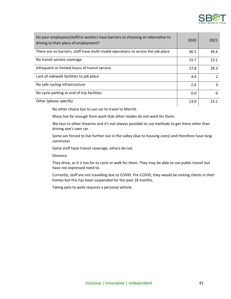

| Do your employees/staff/co-workers have barriers to choosing an alternative to<br>driving to their place of employment? | 2020 | 2021          |
|-------------------------------------------------------------------------------------------------------------------------|------|---------------|
| There are no barriers, staff have multi modal operations to access the job place                                        | 36.5 | 39.4          |
| No transit service coverage                                                                                             | 15.7 | 13.1          |
| Infrequent or limited hours of transit service                                                                          | 27.8 | 29.3          |
| Lack of sidewalk facilities to job place                                                                                | 4.4  | $\mathcal{P}$ |
| No safe cycling infrastructure                                                                                          | 2.6  | 3             |
| No cycle parking or end of trip facilities                                                                              | 0.0  | $\Omega$      |
| Other (please specify)                                                                                                  | 13.0 | 13.1          |

No other choice but to use car to travel to Merritt.

Many live far enough from work that other modes do not work for them.

We tour to other theatres and it's not always possible to use methods to get there other than driving one's own car.

Some are forced to live further out in the valley (due to housing costs) and therefore have long commutes

Some staff have transit coverage, others do not.

Distance

They drive, as it is too far to cycle or walk for them. They may be able to use public transit but have not expressed need to.

Currently, staff are not travelling due to COVID. Pre-COVID, they would be visiting clients in their homes but this has been suspended for the past 18 months.

Taking pets to work requires a personal vehicle.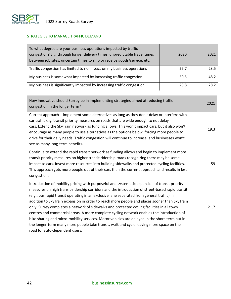

### <span id="page-41-0"></span>STRATEGIES TO MANAGE TRAFFIC DEMAND

| To what degree are your business operations impacted by traffic<br>congestion? E.g. through longer delivery times, unpredictable travel times<br>between job sites, uncertain times to ship or receive goods/service, etc. | 2020 | 2021 |
|----------------------------------------------------------------------------------------------------------------------------------------------------------------------------------------------------------------------------|------|------|
| Traffic congestion has limited to no impact on my business operations                                                                                                                                                      | 25.7 | 23.5 |
| My business is somewhat impacted by increasing traffic congestion                                                                                                                                                          | 50.5 | 48.2 |
| My business is significantly impacted by increasing traffic congestion                                                                                                                                                     | 23.8 | 28.2 |

 $\mathbf{L}$ 

<span id="page-41-1"></span>

| How innovative should Surrey be in implementing strategies aimed at reducing traffic<br>congestion in the longer term?                                                                                                                                                                                                                                                                                                                                                                                                                                                                                                                                                                                                                                                                                                  | 2021 |
|-------------------------------------------------------------------------------------------------------------------------------------------------------------------------------------------------------------------------------------------------------------------------------------------------------------------------------------------------------------------------------------------------------------------------------------------------------------------------------------------------------------------------------------------------------------------------------------------------------------------------------------------------------------------------------------------------------------------------------------------------------------------------------------------------------------------------|------|
| Current approach – Implement some alternatives as long as they don't delay or interfere with<br>car traffic e.g. transit priority measures on roads that are wide enough to not delay<br>cars. Extend the SkyTrain network as funding allows. This won't impact cars, but it also won't<br>encourage as many people to use alternatives as the options below, forcing more people to<br>drive for their daily needs. Traffic congestion will continue to increase, and businesses won't<br>see as many long-term benefits.                                                                                                                                                                                                                                                                                              | 19.3 |
| Continue to extend the rapid transit network as funding allows and begin to implement more<br>transit priority measures on higher transit ridership roads recognizing there may be some<br>impact to cars. Invest more resources into building sidewalks and protected cycling facilities.<br>This approach gets more people out of their cars than the current approach and results in less<br>congestion.                                                                                                                                                                                                                                                                                                                                                                                                             | 59   |
| Introduction of mobility pricing with purposeful and systematic expansion of transit priority<br>measures on high transit-ridership corridors and the introduction of street-based rapid transit<br>(e.g., bus rapid transit operating in an exclusive lane separated from general traffic) in<br>addition to SkyTrain expansion in order to reach more people and places sooner than SkyTrain<br>only. Surrey completes a network of sidewalks and protected cycling facilities in all town<br>centres and commercial areas. A more complete cycling network enables the introduction of<br>bike sharing and micro-mobility services. Motor vehicles are delayed in the short-term but in<br>the longer-term many more people take transit, walk and cycle leaving more space on the<br>road for auto-dependent users. | 21.7 |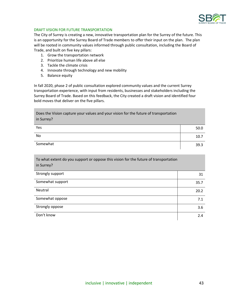

#### DRAFT VISION FOR FUTURE TRANSPORTATION

The City of Surrey is creating a new, innovative transportation plan for the Surrey of the future. This is an opportunity for the Surrey Board of Trade members to offer their input on the plan. The plan will be rooted in community values informed through public consultation, including the Board of Trade, and built on five key pillars:

- 1. Grow the transportation network
- 2. Prioritize human life above all else
- 3. Tackle the climate crisis
- 4. Innovate through technology and new mobility
- 5. Balance equity

In fall 2020, phase 2 of public consultation explored community values and the current Surrey transportation experience, with input from residents, businesses and stakeholders including the Surrey Board of Trade. Based on this feedback, the City created a draft vision and identified four bold moves that deliver on the five pillars.

Does the Vision capture your values and your vision for the future of transportation in Surrey?

| Yes      | 50.0 |
|----------|------|
| No       | 10.7 |
| Somewhat | 39.3 |

To what extent do you support or oppose this vision for the future of transportation in Surrey?

| Strongly support | 31   |
|------------------|------|
| Somewhat support | 35.7 |
| Neutral          | 20.2 |
| Somewhat oppose  | 7.1  |
| Strongly oppose  | 3.6  |
| Don't know       | 2.4  |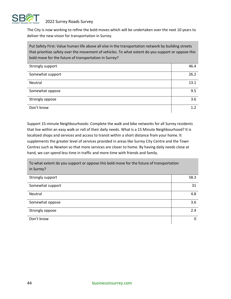

The City is now working to refine the bold moves which will be undertaken over the next 10 years to deliver the new vision for transportation in Surrey.

Put Safety First: Value human life above all else in the transportation network by building streets that prioritize safety over the movement of vehicles. To what extent do you support or oppose this bold move for the future of transportation in Surrey?

| Strongly support | 46.4 |
|------------------|------|
| Somewhat support | 26.2 |
| Neutral          | 13.1 |
| Somewhat oppose  | 9.5  |
| Strongly oppose  | 3.6  |
| Don't know       | 1.2  |

Support 15-minute Neighbourhoods: Complete the walk and bike networks for all Surrey residents that live within an easy walk or roll of their daily needs. What is a 15 Minute Neighbourhood? It is localized shops and services and access to transit within a short distance from your home. It supplements the greater level of services provided in areas like Surrey City Centre and the Town Centres such as Newton so that more services are closer to home. By having daily needs close at hand, we can spend less time in traffic and more time with friends and family.

To what extent do you support or oppose this bold move for the future of transportation in Surrey?

| Strongly support | 58.3     |
|------------------|----------|
| Somewhat support | 31       |
| Neutral          | 4.8      |
| Somewhat oppose  | 3.6      |
| Strongly oppose  | 2.4      |
| Don't know       | $\Omega$ |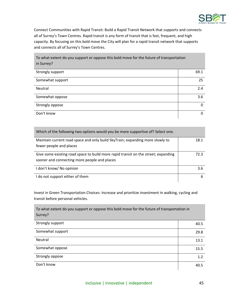

Connect Communities with Rapid Transit: Build a Rapid Transit Network that supports and connects all of Surrey's Town Centres. Rapid transit is any form of transit that is fast, frequent, and high capacity. By focusing on this bold move the City will plan for a rapid transit network that supports and connects all of Surrey's Town Centres.

To what extent do you support or oppose this bold move for the future of transportation in Surrey?

| Strongly support | 69.1 |
|------------------|------|
| Somewhat support | 25   |
| Neutral          | 2.4  |
| Somewhat oppose  | 3.6  |
| Strongly oppose  | 0    |
| Don't know       | 0    |

| Which of the following two options would you be more supportive of? Select one.    |      |
|------------------------------------------------------------------------------------|------|
| Maintain current road space and only build SkyTrain; expanding more slowly to      | 18.1 |
| fewer people and places                                                            |      |
| Give some existing road space to build more rapid transit on the street; expanding | 72.3 |
| sooner and connecting more people and places                                       |      |
| I don't know/ No opinion                                                           | 3.6  |
| I do not support either of them                                                    | 6    |

Invest in Green Transportation Choices: Increase and prioritize investment in walking, cycling and transit before personal vehicles.

To what extent do you support or oppose this bold move for the future of transportation in Surrey? Strongly support 40.5 Somewhat support 29.8 Neutral 13.1 Somewhat oppose 15.5 Strongly oppose the control of the control of the control of the control of the control of the control of the control of the control of the control of the control of the control of the control of the control of the control Don't know 40.5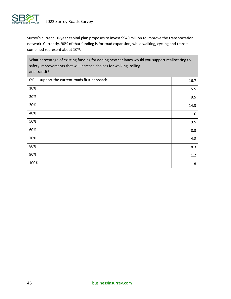

Surrey's current 10-year capital plan proposes to invest \$940 million to improve the transportation network. Currently, 90% of that funding is for road expansion, while walking, cycling and transit combined represent about 10%.

What percentage of existing funding for adding new car lanes would you support reallocating to safety improvements that will increase choices for walking, rolling and transit?

| 0% - I support the current roads first approach | 16.7 |
|-------------------------------------------------|------|
| 10%                                             | 15.5 |
| 20%                                             | 9.5  |
| 30%                                             | 14.3 |
| 40%                                             | 6    |
| 50%                                             | 9.5  |
| 60%                                             | 8.3  |
| 70%                                             | 4.8  |
| 80%                                             | 8.3  |
| 90%                                             | 1.2  |
| 100%                                            | 6    |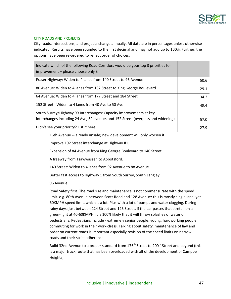

#### <span id="page-46-0"></span>CITY ROADS AND PROJECTS

City roads, intersections, and projects change annually. All data are in percentages unless otherwise indicated. Results have been rounded to the first decimal and may not add up to 100%. Further, the options have been re-ordered to reflect order of choices.

| Indicate which of the following Road Corridors would be your top 3 priorities for<br>improvement – please choose only 3 |      |
|-------------------------------------------------------------------------------------------------------------------------|------|
| Fraser Highway: Widen to 4 lanes from 140 Street to 96 Avenue                                                           | 50.6 |
| 80 Avenue: Widen to 4 lanes from 132 Street to King George Boulevard                                                    | 29.1 |
| 64 Avenue: Widen to 4 lanes from 177 Street and 184 Street                                                              | 34.2 |
| 152 Street: Widen to 4 lanes from 40 Ave to 50 Ave                                                                      | 49.4 |
| South Surrey/Highway 99 Interchanges: Capacity improvements at key                                                      |      |
| interchanges including 24 Ave, 32 avenue, and 152 Street (overpass and widening)                                        | 57.0 |
| Didn't see your priority? List it here:                                                                                 | 27.9 |

16th Avenue -- already unsafe; new development will only worsen it.

Improve 192 Street interchange at Highway #1.

Expansion of 84 Avenue from King George Boulevard to 140 Street.

A freeway from Tsawwassen to Abbotsford.

140 Street: Widen to 4 lanes from 92 Avenue to 88 Avenue.

Better fast access to Highway 1 from South Surrey, South Langley.

96 Avenue

Road Safety first. The road size and maintenance is not commensurate with the speed limit. e.g. 80th Avenue between Scott Road and 128 Avenue: this is mostly single lane, yet 60KMPH speed limit, which is a lot. Plus with a lot of bumps and water clogging. During rainy days; just between 124 Street and 125 Street, if the car passes that stretch on a green-light at 40-60KMPH, it is 100% likely that it will throw splashes of water on pedestrians. Pedestrians include - extremely senior people; young, hardworking people commuting for work in their work-dress. Talking about safety, maintenance of law and order on current roads is important especially revision of the speed limits on narrow roads and their strict adherence.

Build 32nd Avenue to a proper standard from 176<sup>th</sup> Street to 200<sup>th</sup> Street and beyond (this is a major truck route that has been overloaded with all of the development of Campbell Heights).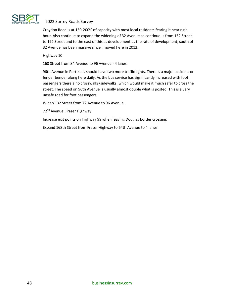

Croydon Road is at 150-200% of capacity with most local residents fearing it near rush hour. Also continue to expand the widening of 32 Avenue so continuous from 152 Street to 192 Street and to the east of this as development as the rate of development, south of 32 Avenue has been massive since I moved here in 2012.

Highway 10

160 Street from 84 Avenue to 96 Avenue - 4 lanes.

96th Avenue in Port Kells should have two more traffic lights. There is a major accident or fender bender along here daily. As the bus service has significantly increased with foot passengers there a no crosswalks/sidewalks, which would make it much safer to cross the street. The speed on 96th Avenue is usually almost double what is posted. This is a very unsafe road for foot passengers.

Widen 132 Street from 72 Avenue to 96 Avenue.

72<sup>nd</sup> Avenue, Fraser Highway.

Increase exit points on Highway 99 when leaving Douglas border crossing.

Expand 168th Street from Fraser Highway to 64th Avenue to 4 lanes.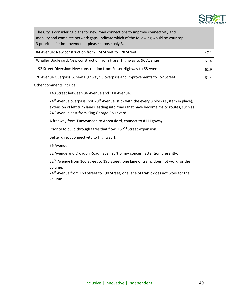

| The City is considering plans for new road connections to improve connectivity and<br>mobility and complete network gaps. Indicate which of the following would be your top<br>3 priorities for improvement – please choose only 3. |      |
|-------------------------------------------------------------------------------------------------------------------------------------------------------------------------------------------------------------------------------------|------|
| 84 Avenue: New construction from 124 Street to 128 Street                                                                                                                                                                           | 47.1 |
| Whalley Boulevard: New construction from Fraser Highway to 96 Avenue                                                                                                                                                                | 61.4 |
| 192 Street Diversion: New construction from Fraser Highway to 68 Avenue                                                                                                                                                             | 62.9 |
| 20 Avenue Overpass: A new Highway 99 overpass and improvements to 152 Street                                                                                                                                                        | 61.4 |

Other comments include:

148 Street between 84 Avenue and 108 Avenue.

 $24<sup>th</sup>$  Avenue overpass (not  $20<sup>th</sup>$  Avenue; stick with the every 8 blocks system in place); extension of left turn lanes leading into roads that have become major routes, such as 24<sup>th</sup> Avenue east from King George Boulevard.

A freeway from Tsawwassen to Abbotsford, connect to #1 Highway.

Priority to build through fares that flow. 152<sup>nd</sup> Street expansion.

Better direct connectivity to Highway 1.

96 Avenue

32 Avenue and Croydon Road have >90% of my concern attention presently.

32<sup>nd</sup> Avenue from 160 Street to 190 Street, one lane of traffic does not work for the volume.

24<sup>th</sup> Avenue from 160 Street to 190 Street, one lane of traffic does not work for the volume.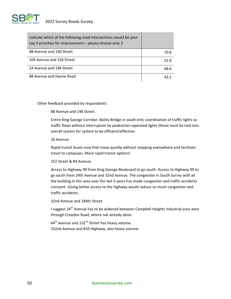

| Indicate which of the following road intersections would be your<br>top 3 priorities for improvement – please choose only 3 |      |
|-----------------------------------------------------------------------------------------------------------------------------|------|
| 88 Avenue and 140 Street                                                                                                    | 70.8 |
| 104 Avenue and 156 Street                                                                                                   | 52.8 |
| 24 Avenue and 184 Street                                                                                                    | 48.6 |
| 88 Avenue and Harvie Road                                                                                                   |      |

Other feedback provided by respondents:

88 Avenue and 148 Street.

Entire King George Corridor; Bailey Bridge in south end; coordination of traffic lights so traffic flows without interruption by pedestrian-operated lights (those must be tied into overall system for system to be efficient/effective.

16 Avenue

Rapid transit buses now that move quickly without stopping everywhere and facilitate travel to campuses. More rapid transit options!

152 Street & 84 Avenue.

Access to Highway 99 from King George Boulevard to go south. Access to Highway 99 to go south from 24th Avenue and 32nd Avenue. The congestion in South Surrey with all the building in this area over the last 5 years has made congestion and traffic accidents constant. Giving better access to the highway would reduce so much congestion and traffic accidents.

32nd Avenue and 184th Street.

I suggest 24<sup>th</sup> Avenue has to be widened between Campbell Heights industrial area west through Croydon Road, where not already done.

 $64<sup>th</sup>$  Avenue and 152<sup>nd</sup> Street has heavy volume. 152nd Avenue and #10 Highway, also heavy volume.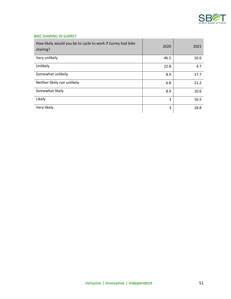

#### <span id="page-50-0"></span>BIKE SHARING IN SURREY

| How likely would you be to cycle to work if Surrey had bike<br>sharing? | 2020 | 2021 |
|-------------------------------------------------------------------------|------|------|
| Very unlikely                                                           | 46.5 | 10.6 |
| Unlikely                                                                | 22.8 | 4.7  |
| Somewhat unlikely                                                       | 8.9  | 17.7 |
| Neither likely nor unlikely                                             | 6.8  | 21.2 |
| Somewhat likely                                                         | 8.9  | 10.6 |
| Likely                                                                  | 3    | 16.5 |
| Very likely                                                             | 3    | 18.8 |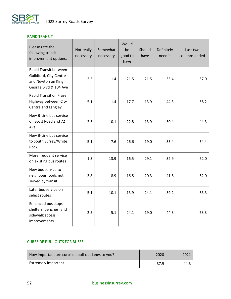

#### <span id="page-51-0"></span>RAPID TRANSIT

| Please rate the<br>following transit<br>improvement options:                                   | Not really<br>necessary | Somewhat<br>necessary | Would<br>be<br>good to<br>have | Should<br>have | Definitely<br>need it | Last two<br>columns added |
|------------------------------------------------------------------------------------------------|-------------------------|-----------------------|--------------------------------|----------------|-----------------------|---------------------------|
| Rapid Transit between<br>Guildford, City Centre<br>and Newton on King<br>George Blvd & 104 Ave | 2.5                     | 11.4                  | 21.5                           | 21.5           | 35.4                  | 57.0                      |
| Rapid Transit on Fraser<br>Highway between City<br>Centre and Langley                          | 5.1                     | 11.4                  | 17.7                           | 13.9           | 44.3                  | 58.2                      |
| New B-Line bus service<br>on Scott Road and 72<br>Ave                                          | 2.5                     | 10.1                  | 22.8                           | 13.9           | 30.4                  | 44.3                      |
| New B-Line bus service<br>to South Surrey/White<br>Rock                                        | 5.1                     | 7.6                   | 26.6                           | 19.0           | 35.4                  | 54.4                      |
| More frequent service<br>on existing bus routes                                                | 1.3                     | 13.9                  | 16.5                           | 29.1           | 32.9                  | 62.0                      |
| New bus service to<br>neighbourhoods not<br>served by transit                                  | 3.8                     | 8.9                   | 16.5                           | 20.3           | 41.8                  | 62.0                      |
| Later bus service on<br>select routes                                                          | 5.1                     | 10.1                  | 13.9                           | 24.1           | 39.2                  | 63.3                      |
| Enhanced bus stops,<br>shelters, benches, and<br>sidewalk access<br>improvements               | 2.5                     | 5.1                   | 24.1                           | 19.0           | 44.3                  | 63.3                      |

#### <span id="page-51-1"></span>CURBSIDE PULL-OUTS FOR BUSES

| How important are curbside pull-out lanes to you? | 2020 | 2021 |
|---------------------------------------------------|------|------|
| <b>Extremely important</b>                        | 37.9 | 44.3 |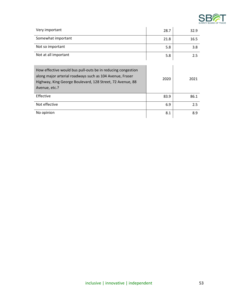

| Very important                                                                                                                                                                                        | 28.7 | 32.9 |
|-------------------------------------------------------------------------------------------------------------------------------------------------------------------------------------------------------|------|------|
| Somewhat important                                                                                                                                                                                    | 21.8 | 16.5 |
| Not so important                                                                                                                                                                                      | 5.8  | 3.8  |
| Not at all important                                                                                                                                                                                  | 5.8  | 2.5  |
| How effective would bus pull-outs be in reducing congestion<br>along major arterial roadways such as 104 Avenue, Fraser<br>Highway, King George Boulevard, 128 Street, 72 Avenue, 88<br>Avenue, etc.? | 2020 | 2021 |
| Effective                                                                                                                                                                                             | 83.9 | 86.1 |
| Not effective                                                                                                                                                                                         | 6.9  | 2.5  |
| No opinion                                                                                                                                                                                            | 8.1  | 8.9  |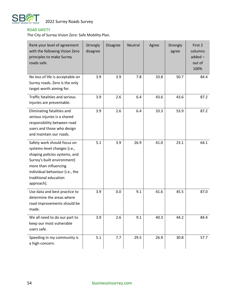

### <span id="page-53-0"></span>ROAD SAFETY

The City of Surrey Vision Zero: Safe Mobility Plan.

| Rank your level of agreement<br>with the following Vision Zero<br>principles to make Surrey<br>roads safe.                                                                                                                     | Strongly<br>disagree | <b>Disagree</b> | <b>Neutral</b> | Agree | Strongly<br>agree | First 2<br>columns<br>$added -$<br>out of<br>100% |
|--------------------------------------------------------------------------------------------------------------------------------------------------------------------------------------------------------------------------------|----------------------|-----------------|----------------|-------|-------------------|---------------------------------------------------|
| No loss of life is acceptable on<br>Surrey roads. Zero is the only<br>target worth aiming for.                                                                                                                                 | 3.9                  | 3.9             | 7.8            | 33.8  | 50.7              | 84.4                                              |
| Traffic fatalities and serious<br>injuries are preventable.                                                                                                                                                                    | 3.9                  | 2.6             | 6.4            | 43.6  | 43.6              | 87.2                                              |
| Eliminating fatalities and<br>serious injuries is a shared<br>responsibility between road<br>users and those who design<br>and maintain our roads.                                                                             | 3.9                  | 2.6             | 6.4            | 33.3  | 53.9              | 87.2                                              |
| Safety work should focus on<br>systems-level changes (i.e.,<br>shaping policies systems, and<br>Surrey's built environment)<br>more than influencing<br>individual behaviour (i.e., the<br>traditional education<br>approach). | 5.1                  | 3.9             | 26.9           | 41.0  | 23.1              | 64.1                                              |
| Use data and best practice to<br>determine the areas where<br>road improvements should be<br>made.                                                                                                                             | 3.9                  | 0.0             | 9.1            | 41.6  | 45.5              | 87.0                                              |
| We all need to do our part to<br>keep our most vulnerable<br>users safe.                                                                                                                                                       | 3.9                  | 2.6             | 9.1            | 40.3  | 44.2              | 84.4                                              |
| Speeding in my community is<br>a high concern.                                                                                                                                                                                 | 5.1                  | 7.7             | 29.5           | 26.9  | 30.8              | 57.7                                              |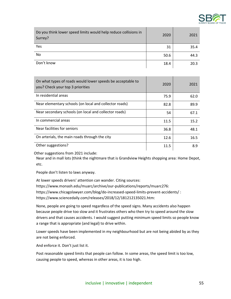

| Do you think lower speed limits would help reduce collisions in<br>Surrey? | 2020 | 2021 |
|----------------------------------------------------------------------------|------|------|
| Yes                                                                        | 31   | 35.4 |
| No                                                                         | 50.6 | 44.3 |
| Don't know                                                                 | 18.4 | 20.3 |

| On what types of roads would lower speeds be acceptable to<br>you? Check your top 3 priorities | 2020 | 2021 |
|------------------------------------------------------------------------------------------------|------|------|
| In residential areas                                                                           | 75.9 | 62.0 |
| Near elementary schools (on local and collector roads)                                         | 82.8 | 89.9 |
| Near secondary schools (on local and collector roads)                                          | 54   | 67.1 |
| In commercial areas                                                                            | 11.5 | 15.2 |
| Near facilities for seniors                                                                    | 36.8 | 48.1 |
| On arterials, the main roads through the city                                                  | 12.6 | 16.5 |
| Other suggestions?                                                                             | 11.5 | 8.9  |

Other suggestions from 2021 include:

Near and in mall lots (think the nightmare that is Grandview Heights shopping area: Home Depot, etc.

People don't listen to laws anyway.

At lower speeds drivers' attention can wander. Citing sources: https://www.monash.edu/muarc/archive/our-publications/reports/muarc276: https://www.chicagolawyer.com/blog/do-increased-speed-limits-prevent-accidents/ : https://www.sciencedaily.com/releases/2018/12/181212135021.htm:

None, people are going to speed regardless of the speed signs. Many accidents also happen because people drive too slow and it frustrates others who then try to speed around the slow drivers and that causes accidents. I would suggest putting minimum speed limits so people know a range that is appropriate (and legal) to drive within.

Lower speeds have been implemented in my neighbourhood but are not being abided by as they are not being enforced.

And enforce it. Don't just list it.

Post reasonable speed limits that people can follow. In some areas, the speed limit is too low, causing people to speed, whereas in other areas, it is too high.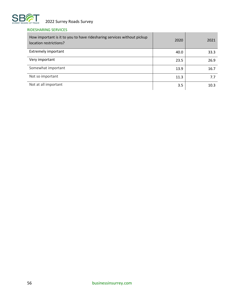

### <span id="page-55-0"></span>RIDESHARING SERVICES

| How important is it to you to have ridesharing services without pickup<br>location restrictions? | 2020 | 2021 |
|--------------------------------------------------------------------------------------------------|------|------|
| <b>Extremely important</b>                                                                       | 40.0 | 33.3 |
| Very important                                                                                   | 23.5 | 26.9 |
| Somewhat important                                                                               | 13.9 | 16.7 |
| Not so important                                                                                 | 11.3 | 7.7  |
| Not at all important                                                                             | 3.5  | 10.3 |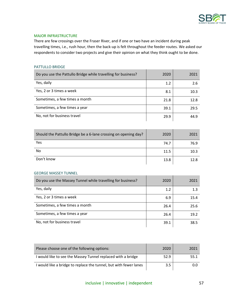

#### <span id="page-56-0"></span>MAJOR INFRASTRUCTURE

There are few crossings over the Fraser River, and if one or two have an incident during peak travelling times, i.e., rush hour, then the back-up is felt throughout the feeder routes. We asked our respondents to consider two projects and give their opinion on what they think ought to be done.

#### <span id="page-56-1"></span>PATTULLO BRIDGE

| Do you use the Pattullo Bridge while travelling for business? | 2020 | 2021 |
|---------------------------------------------------------------|------|------|
| Yes, daily                                                    | 1.2  | 2.6  |
| Yes, 2 or 3 times a week                                      | 8.1  | 10.3 |
| Sometimes, a few times a month                                | 21.8 | 12.8 |
| Sometimes, a few times a year                                 | 39.1 | 29.5 |
| No, not for business travel                                   | 29.9 | 44.9 |

| Should the Pattullo Bridge be a 6-lane crossing on opening day? | 2020 | 2021 |
|-----------------------------------------------------------------|------|------|
| Yes                                                             | 74.7 | 76.9 |
| No                                                              | 11.5 | 10.3 |
| Don't know                                                      | 13.8 | 12.8 |

#### <span id="page-56-2"></span>GEORGE MASSEY TUNNEL

| Do you use the Massey Tunnel while travelling for business? | 2020 | 2021 |
|-------------------------------------------------------------|------|------|
| Yes, daily                                                  | 1.2  | 1.3  |
| Yes, 2 or 3 times a week                                    | 6.9  | 15.4 |
| Sometimes, a few times a month                              | 26.4 | 25.6 |
| Sometimes, a few times a year                               | 26.4 | 19.2 |
| No, not for business travel                                 | 39.1 | 38.5 |

| Please choose one of the following options:                       | 2020 | 2021 |
|-------------------------------------------------------------------|------|------|
| I would like to see the Massey Tunnel replaced with a bridge      | 52.9 | 55.1 |
| I would like a bridge to replace the tunnel, but with fewer lanes | 3.5  | 0.0  |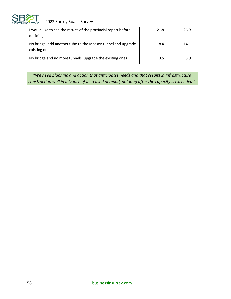

| I would like to see the results of the provincial report before<br>deciding   | 21.8 | 26.9 |
|-------------------------------------------------------------------------------|------|------|
| No bridge, add another tube to the Massey tunnel and upgrade<br>existing ones | 18.4 | 14.1 |
| No bridge and no more tunnels, upgrade the existing ones                      | 3.5  | 3.9  |

*"We need planning and action that anticipates needs and that results in infrastructure construction well in advance of increased demand, not long after the capacity is exceeded."*